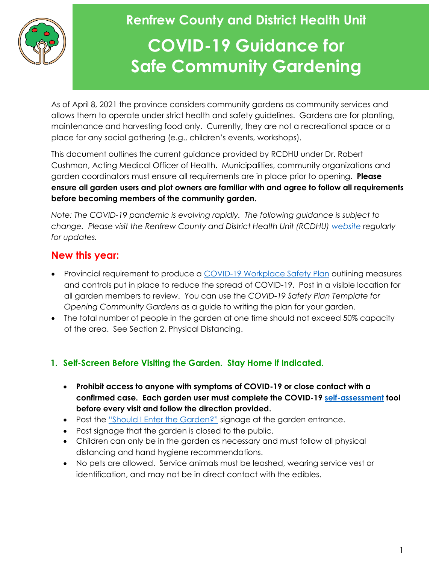

### **Renfrew County and District Health Unit COVID-19 Guidance for Safe Community Gardening**

As of April 8, 2021 the province considers community gardens as community services and allows them to operate under strict health and safety guidelines. Gardens are for planting, maintenance and harvesting food only. Currently, they are not a recreational space or a place for any social gathering (e.g., children's events, workshops).

This document outlines the current guidance provided by RCDHU under Dr. Robert Cushman, Acting Medical Officer of Health. Municipalities, community organizations and garden coordinators must ensure all requirements are in place prior to opening. **Please ensure all garden users and plot owners are familiar with and agree to follow all requirements before becoming members of the community garden.** 

*Note: The COVID-19 pandemic is evolving rapidly. The following guidance is subject to change. Please visit the Renfrew County and District Health Unit (RCDHU) [website](https://www.rcdhu.com/) regularly for updates.*

#### **New this year:**

- Provincial requirement to produce a [COVID-19 Workplace Safety Plan](https://www.ontario.ca/page/develop-your-covid-19-workplace-safety-plan) outlining measures and controls put in place to reduce the spread of COVID-19. Post in a visible location for all garden members to review. You can use the *COVID-19 Safety Plan Template for Opening Community Gardens* as a guide to writing the plan for your garden.
- The total number of people in the garden at one time should not exceed 50% capacity of the area. See Section 2. Physical Distancing.

#### **1. Self-Screen Before Visiting the Garden. Stay Home if Indicated.**

- **Prohibit access to anyone with symptoms of COVID-19 or close contact with a confirmed case. Each garden user must complete the COVID-19 [self-assessment](https://covid-19.ontario.ca/self-assessment/) tool before every visit and follow the direction provided.**
- Post the ["Should I Enter the Garden?"](https://www.rcdhu.com/wp-content/uploads/2021/01/Should-I-enter-the-Community-Garden.pdf) signage at the garden entrance.
- Post signage that the garden is closed to the public.
- Children can only be in the garden as necessary and must follow all physical distancing and hand hygiene recommendations.
- No pets are allowed. Service animals must be leashed, wearing service vest or identification, and may not be in direct contact with the edibles.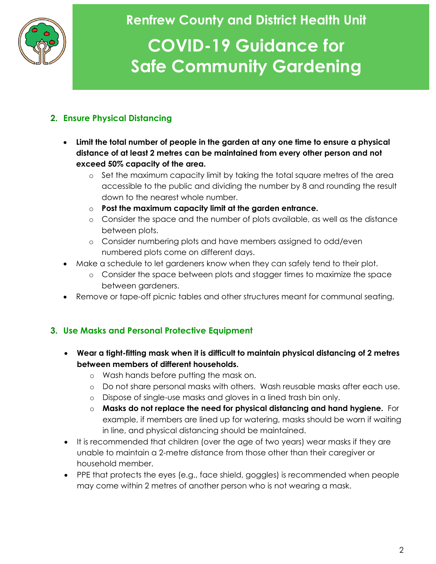

### **Renfrew County and District Health Unit COVID-19 Guidance for**

# **Safe Community Gardening**

#### **2. Ensure Physical Distancing**

- **Limit the total number of people in the garden at any one time to ensure a physical distance of at least 2 metres can be maintained from every other person and not exceed 50% capacity of the area.** 
	- o Set the maximum capacity limit by taking the total square metres of the area accessible to the public and dividing the number by 8 and rounding the result down to the nearest whole number.
	- o **Post the maximum capacity limit at the garden entrance.**
	- o Consider the space and the number of plots available, as well as the distance between plots.
	- o Consider numbering plots and have members assigned to odd/even numbered plots come on different days.
- Make a schedule to let gardeners know when they can safely tend to their plot.
	- o Consider the space between plots and stagger times to maximize the space between gardeners.
- Remove or tape-off picnic tables and other structures meant for communal seating.

#### **3. Use Masks and Personal Protective Equipment**

- **Wear a tight-fitting mask when it is difficult to maintain physical distancing of 2 metres between members of different households.**
	- o Wash hands before putting the mask on.
	- o Do not share personal masks with others. Wash reusable masks after each use.
	- o Dispose of single-use masks and gloves in a lined trash bin only.
	- o **Masks do not replace the need for physical distancing and hand hygiene.** For example, if members are lined up for watering, masks should be worn if waiting in line, and physical distancing should be maintained.
- It is recommended that children (over the age of two years) wear masks if they are unable to maintain a 2-metre distance from those other than their caregiver or household member.
- PPE that protects the eyes (e.g., face shield, goggles) is recommended when people may come within 2 metres of another person who is not wearing a mask.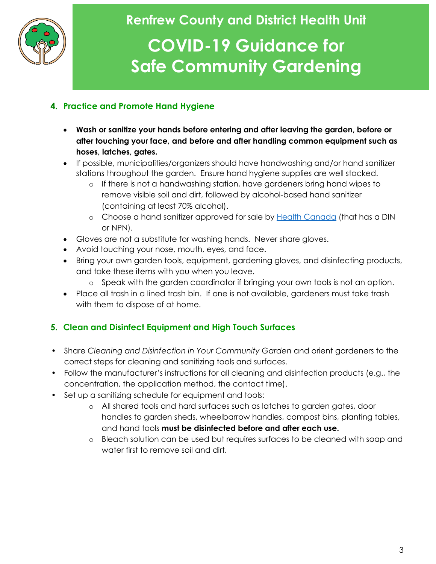

### **Renfrew County and District Health Unit COVID-19 Guidance for**

## **Safe Community Gardening**

#### **4. Practice and Promote Hand Hygiene**

- **Wash or sanitize your hands before entering and after leaving the garden, before or after touching your face, and before and after handling common equipment such as hoses, latches, gates.**
- If possible, municipalities/organizers should have handwashing and/or hand sanitizer stations throughout the garden. Ensure hand hygiene supplies are well stocked.
	- o If there is not a handwashing station, have gardeners bring hand wipes to remove visible soil and dirt, followed by alcohol-based hand sanitizer (containing at least 70% alcohol).
	- o Choose a hand sanitizer approved for sale by [Health Canada](https://www.canada.ca/en/health-canada/services/drugs-health-products/disinfectants/covid-19/hand-sanitizer.html) (that has a DIN or NPN).
- Gloves are not a substitute for washing hands. Never share gloves.
- Avoid touching your nose, mouth, eyes, and face.
- Bring your own garden tools, equipment, gardening gloves, and disinfecting products, and take these items with you when you leave.
	- o Speak with the garden coordinator if bringing your own tools is not an option.
- Place all trash in a lined trash bin. If one is not available, gardeners must take trash with them to dispose of at home.

#### **5. Clean and Disinfect Equipment and High Touch Surfaces**

- Share *Cleaning and Disinfection in Your Community Garden* and orient gardeners to the correct steps for cleaning and sanitizing tools and surfaces.
- Follow the manufacturer's instructions for all cleaning and disinfection products (e.g., the concentration, the application method, the contact time).
- Set up a sanitizing schedule for equipment and tools:
	- o All shared tools and hard surfaces such as latches to garden gates, door handles to garden sheds, wheelbarrow handles, compost bins, planting tables, and hand tools **must be disinfected before and after each use.**
	- o Bleach solution can be used but requires surfaces to be cleaned with soap and water first to remove soil and dirt.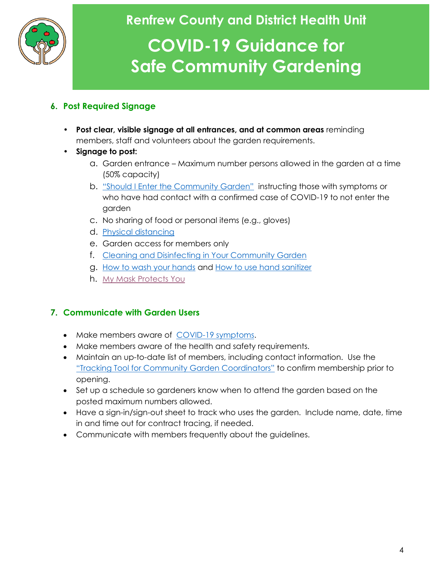

### **Renfrew County and District Health Unit COVID-19 Guidance for Safe Community Gardening**

#### **6. Post Required Signage**

- **Post clear, visible signage at all entrances, and at common areas** reminding members, staff and volunteers about the garden requirements.
- **Signage to post:**
	- a. Garden entrance Maximum number persons allowed in the garden at a time (50% capacity)
	- b. ["Should I Enter the Community Garden"](https://www.rcdhu.com/wp-content/uploads/2021/01/Should-I-enter-the-Community-Garden.pdf) instructing those with symptoms or who have had contact with a confirmed case of COVID-19 to not enter the garden
	- c. No sharing of food or personal items (e.g., gloves)
	- d. [Physical distancing](https://www.rcdhu.com/wp-content/uploads/2020/10/Physical-Distancing-Poster-general-with-no-tips-April-28-2020-FINAL-3.pdf)
	- e. Garden access for members only
	- f. [Cleaning and Disinfecting in Your Community Garden](https://www.rcdhu.com/wp-content/uploads/2021/05/COVID-19-Fact-Sheet-Cleaning-and-Disinfecting-in-Your-Community-Garden-Final-2021.pdf)
	- g. [How to wash your hands](https://www.publichealthontario.ca/-/media/documents/j/2009/jcyh-handwash.pdf?la=en) and [How to use hand sanitizer](https://www.publichealthontario.ca/-/media/documents/j/2009/jcyh-handrub.pdf?la=en)
	- h. [My Mask Protects You](https://www.rcdhu.com/wp-content/uploads/2020/08/MY-mask-protects-YOU-Poster.pdf)

#### **7. Communicate with Garden Users**

- Make members aware of [COVID-19 symptoms.](https://www.ontario.ca/page/covid-19-stop-spread)
- Make members aware of the health and safety requirements.
- Maintain an up-to-date list of members, including contact information. Use the ["Tracking Tool for Community Garden Coordinators"](https://www.rcdhu.com/wp-content/uploads/2020/05/RCDHU-Tracking-Tool-for-Community-Garden-Coordinators-Covid-19-Requirements-B.pdf) to confirm membership prior to opening.
- Set up a schedule so gardeners know when to attend the garden based on the posted maximum numbers allowed.
- Have a sign-in/sign-out sheet to track who uses the garden. Include name, date, time in and time out for contract tracing, if needed.
- Communicate with members frequently about the guidelines.